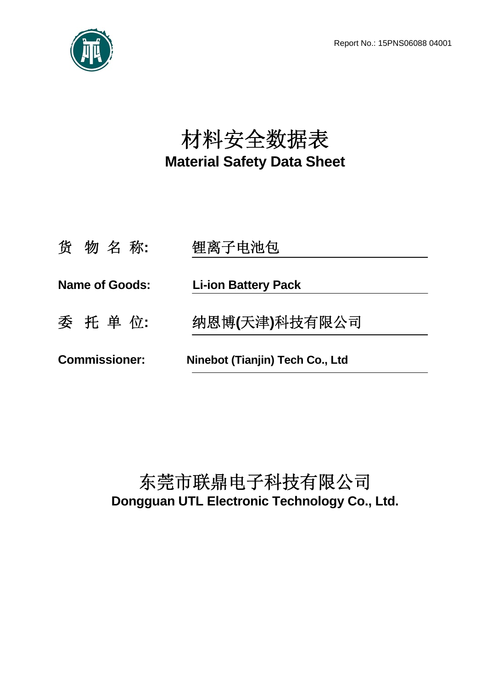Report No.: 15PNS06088 04001



# 材料安全数据表 **Material Safety Data Sheet**

| <b>Commissioner:</b>  | Ninebot (Tianjin) Tech Co., Ltd |  |
|-----------------------|---------------------------------|--|
| 委 托 单 位:              | 纳恩博(天津)科技有限公司                   |  |
| <b>Name of Goods:</b> | <b>Li-ion Battery Pack</b>      |  |
| 货物名称:                 | 锂离子电池包                          |  |

# 东莞市联鼎电子科技有限公司 **Dongguan UTL Electronic Technology Co., Ltd.**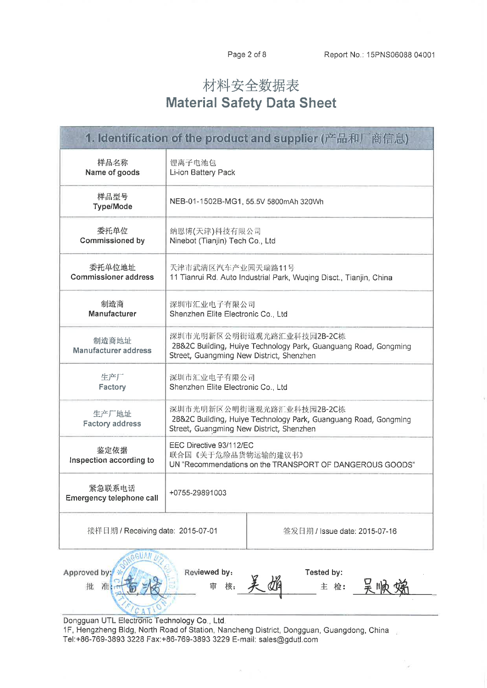# 材料安全数据表 **Material Safety Data Sheet**

| 1. Identification of the product and supplier (产品和厂商信息)                           |                                                                                                                                          |                               |  |
|-----------------------------------------------------------------------------------|------------------------------------------------------------------------------------------------------------------------------------------|-------------------------------|--|
| 样品名称<br>Name of goods                                                             | 锂离子电池包<br>Li-ion Battery Pack                                                                                                            |                               |  |
| 样品型号<br><b>Type/Mode</b>                                                          | NEB-01-1502B-MG1, 55.5V 5800mAh 320Wh                                                                                                    |                               |  |
| 委托单位<br><b>Commissioned by</b>                                                    | 纳恩博(天津)科技有限公司<br>Ninebot (Tianjin) Tech Co., Ltd                                                                                         |                               |  |
| 委托单位地址<br><b>Commissioner address</b>                                             | 天津市武清区汽车产业园天瑞路11号<br>11 Tianrui Rd. Auto Industrial Park, Wuqing Disct., Tianjin, China                                                  |                               |  |
| 制造商<br>Manufacturer                                                               | 深圳市汇业电子有限公司<br>Shenzhen Elite Electronic Co., Ltd                                                                                        |                               |  |
| 制造商地址<br><b>Manufacturer address</b>                                              | 深圳市光明新区公明街道观光路汇业科技园2B-2C栋<br>2B&2C Building, Huiye Technology Park, Guanguang Road, Gongming<br>Street, Guangming New District, Shenzhen |                               |  |
| 生产厂<br>Factory                                                                    | 深圳市汇业电子有限公司<br>Shenzhen Elite Electronic Co., Ltd                                                                                        |                               |  |
| 生产厂地址<br><b>Factory address</b>                                                   | 深圳市光明新区公明街道观光路汇业科技园2B-2C栋<br>2B&2C Building, Huiye Technology Park, Guanguang Road, Gongming<br>Street, Guangming New District, Shenzhen |                               |  |
| 鉴定依据<br>Inspection according to                                                   | EEC Directive 93/112/EC<br>联合国《关于危险品货物运输的建议书》<br>UN "Recommendations on the TRANSPORT OF DANGEROUS GOODS"                                |                               |  |
| 紧急联系电话<br>Emergency telephone call                                                | +0755-29891003                                                                                                                           |                               |  |
| 接样日期 / Receiving date: 2015-07-01                                                 |                                                                                                                                          | 签发日期 / Issue date: 2015-07-16 |  |
| Approved by:<br>Reviewed by:<br>Tested by:<br>)<br>呆  Nif<br>批<br>主 检:<br>审<br>核: |                                                                                                                                          |                               |  |

Dongguan UTL Electronic Technology Co., Ltd. 1F, Hengzheng Bldg, North Road of Station, Nancheng District, Dongguan, Guangdong, China

CATION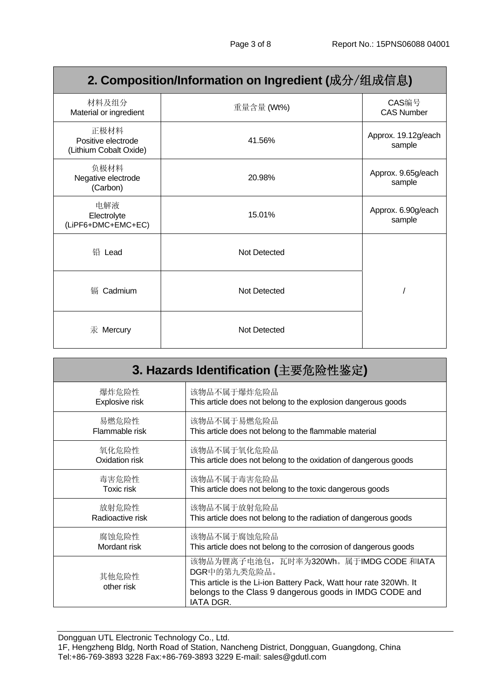# **2. Composition/Information on Ingredient (**成分/组成信息**)**

| 材料及组分<br>Material or ingredient                      | 重量含量 (Wt%)   | CAS编号<br><b>CAS Number</b>    |
|------------------------------------------------------|--------------|-------------------------------|
| 正极材料<br>Positive electrode<br>(Lithium Cobalt Oxide) | 41.56%       | Approx. 19.12g/each<br>sample |
| 负极材料<br>Negative electrode<br>(Carbon)               | 20.98%       | Approx. 9.65g/each<br>sample  |
| 电解液<br>Electrolyte<br>(LiPF6+DMC+EMC+EC)             | 15.01%       | Approx. 6.90g/each<br>sample  |
| 铅 Lead                                               | Not Detected |                               |
| Cadmium<br>镉                                         | Not Detected |                               |
| 汞 Mercury                                            | Not Detected |                               |

| 3. Hazards Identification (主要危险性鉴定) |                                                                                                                                                                                                     |  |
|-------------------------------------|-----------------------------------------------------------------------------------------------------------------------------------------------------------------------------------------------------|--|
| 爆炸危险性                               | 该物品不属于爆炸危险品                                                                                                                                                                                         |  |
| Explosive risk                      | This article does not belong to the explosion dangerous goods                                                                                                                                       |  |
| 易燃危险性                               | 该物品不属于易燃危险品                                                                                                                                                                                         |  |
| Flammable risk                      | This article does not belong to the flammable material                                                                                                                                              |  |
| 氧化危险性                               | 该物品不属于氧化危险品                                                                                                                                                                                         |  |
| Oxidation risk                      | This article does not belong to the oxidation of dangerous goods                                                                                                                                    |  |
| 毒害危险性                               | 该物品不属于毒害危险品                                                                                                                                                                                         |  |
| Toxic risk                          | This article does not belong to the toxic dangerous goods                                                                                                                                           |  |
| 放射危险性                               | 该物品不属于放射危险品                                                                                                                                                                                         |  |
| Radioactive risk                    | This article does not belong to the radiation of dangerous goods                                                                                                                                    |  |
| 腐蚀危险性                               | 该物品不属于腐蚀危险品                                                                                                                                                                                         |  |
| Mordant risk                        | This article does not belong to the corrosion of dangerous goods                                                                                                                                    |  |
| 其他危险性<br>other risk                 | 该物品为锂离子电池包,瓦时率为320Wh。属于IMDG CODE 和IATA<br>DGR中的第九类危险品。<br>This article is the Li-ion Battery Pack, Watt hour rate 320Wh. It<br>belongs to the Class 9 dangerous goods in IMDG CODE and<br>IATA DGR. |  |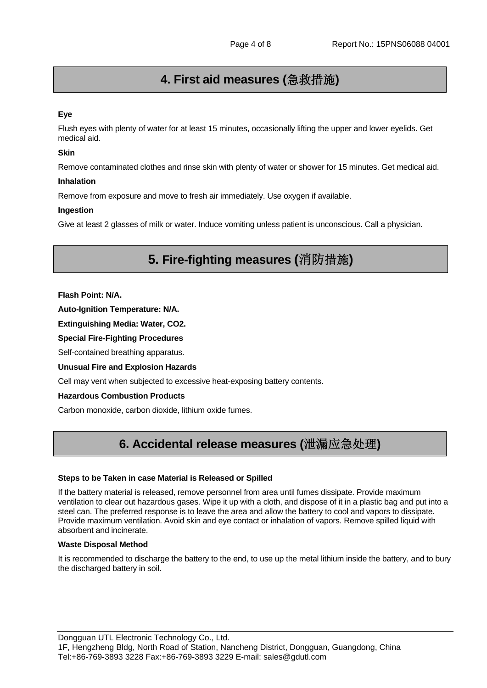# **4. First aid measures (**急救措施**)**

#### **Eye**

Flush eyes with plenty of water for at least 15 minutes, occasionally lifting the upper and lower eyelids. Get medical aid.

#### **Skin**

Remove contaminated clothes and rinse skin with plenty of water or shower for 15 minutes. Get medical aid.

#### **Inhalation**

Remove from exposure and move to fresh air immediately. Use oxygen if available.

#### **Ingestion**

Give at least 2 glasses of milk or water. Induce vomiting unless patient is unconscious. Call a physician.

# **5. Fire-fighting measures (**消防措施**)**

**Flash Point: N/A.** 

**Auto-Ignition Temperature: N/A.** 

**Extinguishing Media: Water, CO2.** 

**Special Fire-Fighting Procedures** 

Self-contained breathing apparatus.

**Unusual Fire and Explosion Hazards** 

Cell may vent when subjected to excessive heat-exposing battery contents.

#### **Hazardous Combustion Products**

Carbon monoxide, carbon dioxide, lithium oxide fumes.

### **6. Accidental release measures (**泄漏应急处理**)**

#### **Steps to be Taken in case Material is Released or Spilled**

If the battery material is released, remove personnel from area until fumes dissipate. Provide maximum ventilation to clear out hazardous gases. Wipe it up with a cloth, and dispose of it in a plastic bag and put into a steel can. The preferred response is to leave the area and allow the battery to cool and vapors to dissipate. Provide maximum ventilation. Avoid skin and eye contact or inhalation of vapors. Remove spilled liquid with absorbent and incinerate.

#### **Waste Disposal Method**

It is recommended to discharge the battery to the end, to use up the metal lithium inside the battery, and to bury the discharged battery in soil.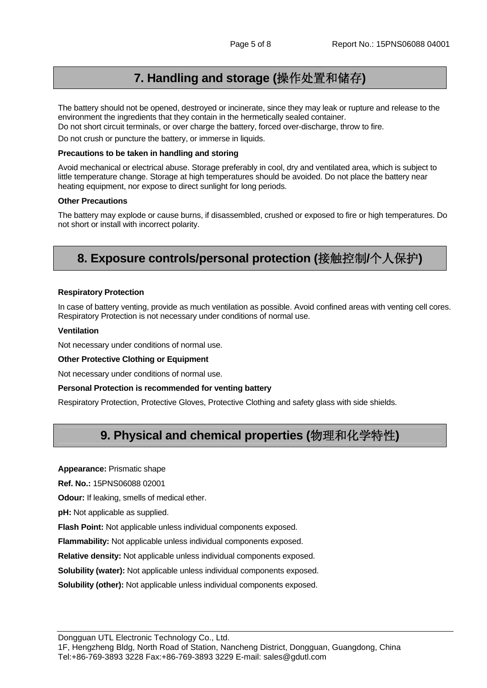### **7. Handling and storage (**操作处置和储存**)**

The battery should not be opened, destroyed or incinerate, since they may leak or rupture and release to the environment the ingredients that they contain in the hermetically sealed container. Do not short circuit terminals, or over charge the battery, forced over-discharge, throw to fire.

Do not crush or puncture the battery, or immerse in liquids.

#### **Precautions to be taken in handling and storing**

Avoid mechanical or electrical abuse. Storage preferably in cool, dry and ventilated area, which is subject to little temperature change. Storage at high temperatures should be avoided. Do not place the battery near heating equipment, nor expose to direct sunlight for long periods.

#### **Other Precautions**

The battery may explode or cause burns, if disassembled, crushed or exposed to fire or high temperatures. Do not short or install with incorrect polarity.

### **8. Exposure controls/personal protection (**接触控制**/**个人保护**)**

#### **Respiratory Protection**

In case of battery venting, provide as much ventilation as possible. Avoid confined areas with venting cell cores. Respiratory Protection is not necessary under conditions of normal use.

#### **Ventilation**

Not necessary under conditions of normal use.

#### **Other Protective Clothing or Equipment**

Not necessary under conditions of normal use.

#### **Personal Protection is recommended for venting battery**

Respiratory Protection, Protective Gloves, Protective Clothing and safety glass with side shields.

# **9. Physical and chemical properties (**物理和化学特性**)**

**Appearance:** Prismatic shape

**Ref. No.:** 15PNS06088 02001

**Odour:** If leaking, smells of medical ether.

**pH:** Not applicable as supplied.

**Flash Point:** Not applicable unless individual components exposed.

**Flammability:** Not applicable unless individual components exposed.

**Relative density:** Not applicable unless individual components exposed.

**Solubility (water):** Not applicable unless individual components exposed.

**Solubility (other):** Not applicable unless individual components exposed.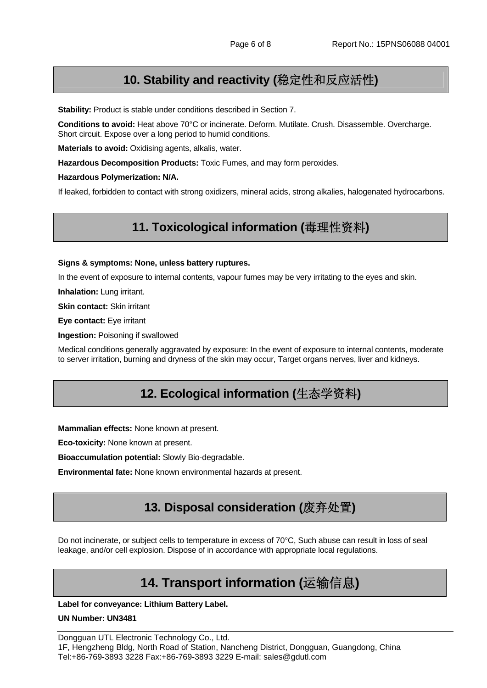# **10. Stability and reactivity (**稳定性和反应活性**)**

**Stability:** Product is stable under conditions described in Section 7.

**Conditions to avoid:** Heat above 70°C or incinerate. Deform. Mutilate. Crush. Disassemble. Overcharge. Short circuit. Expose over a long period to humid conditions.

**Materials to avoid:** Oxidising agents, alkalis, water.

**Hazardous Decomposition Products:** Toxic Fumes, and may form peroxides.

**Hazardous Polymerization: N/A.** 

If leaked, forbidden to contact with strong oxidizers, mineral acids, strong alkalies, halogenated hydrocarbons.

### **11. Toxicological information (**毒理性资料**)**

#### **Signs & symptoms: None, unless battery ruptures.**

In the event of exposure to internal contents, vapour fumes may be very irritating to the eyes and skin.

**Inhalation:** Lung irritant.

**Skin contact:** Skin irritant

**Eye contact:** Eye irritant

**Ingestion:** Poisoning if swallowed

Medical conditions generally aggravated by exposure: In the event of exposure to internal contents, moderate to server irritation, burning and dryness of the skin may occur, Target organs nerves, liver and kidneys.

### **12. Ecological information (**生态学资料**)**

**Mammalian effects:** None known at present.

**Eco-toxicity:** None known at present.

**Bioaccumulation potential:** Slowly Bio-degradable.

**Environmental fate:** None known environmental hazards at present.

# **13. Disposal consideration (**废弃处置**)**

Do not incinerate, or subject cells to temperature in excess of 70°C, Such abuse can result in loss of seal leakage, and/or cell explosion. Dispose of in accordance with appropriate local regulations.

# **14. Transport information (**运输信息**)**

**Label for conveyance: Lithium Battery Label.** 

#### **UN Number: UN3481**

Dongguan UTL Electronic Technology Co., Ltd. 1F, Hengzheng Bldg, North Road of Station, Nancheng District, Dongguan, Guangdong, China Tel:+86-769-3893 3228 Fax:+86-769-3893 3229 E-mail: sales@gdutl.com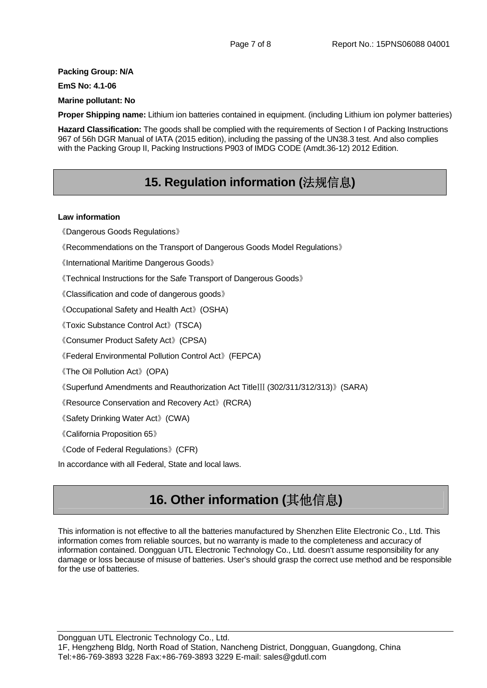#### **Packing Group: N/A**

**EmS No: 4.1-06** 

#### **Marine pollutant: No**

**Proper Shipping name:** Lithium ion batteries contained in equipment. (including Lithium ion polymer batteries)

**Hazard Classification:** The goods shall be complied with the requirements of Section I of Packing Instructions 967 of 56h DGR Manual of IATA (2015 edition), including the passing of the UN38.3 test. And also complies with the Packing Group II, Packing Instructions P903 of IMDG CODE (Amdt.36-12) 2012 Edition.

# **15. Regulation information (**法规信息**)**

#### **Law information**

《Dangerous Goods Regulations》

《Recommendations on the Transport of Dangerous Goods Model Regulations》

《International Maritime Dangerous Goods》

《Technical Instructions for the Safe Transport of Dangerous Goods》

《Classification and code of dangerous goods》

《Occupational Safety and Health Act》(OSHA)

《Toxic Substance Control Act》(TSCA)

《Consumer Product Safety Act》(CPSA)

《Federal Environmental Pollution Control Act》(FEPCA)

《The Oil Pollution Act》(OPA)

《Superfund Amendments and Reauthorization Act TitleⅢ (302/311/312/313)》(SARA)

《Resource Conservation and Recovery Act》(RCRA)

《Safety Drinking Water Act》(CWA)

《California Proposition 65》

《Code of Federal Regulations》(CFR)

In accordance with all Federal, State and local laws.

# **16. Other information (**其他信息**)**

This information is not effective to all the batteries manufactured by Shenzhen Elite Electronic Co., Ltd. This information comes from reliable sources, but no warranty is made to the completeness and accuracy of information contained. Dongguan UTL Electronic Technology Co., Ltd. doesn't assume responsibility for any damage or loss because of misuse of batteries. User's should grasp the correct use method and be responsible for the use of batteries.